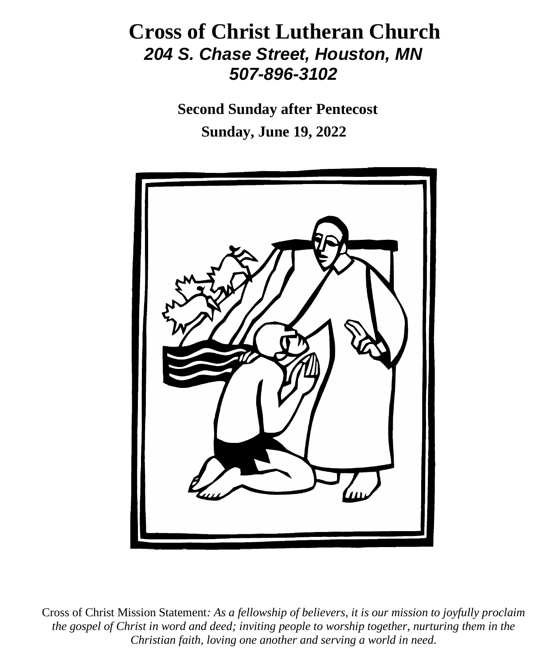# **Cross of Christ Lutheran Church**  *204 S. Chase Street, Houston, MN 507-896-3102*

 **Second Sunday after Pentecost Sunday, June 19, 2022**



Cross of Christ Mission Statement*: As a fellowship of believers, it is our mission to joyfully proclaim the gospel of Christ in word and deed; inviting people to worship together, nurturing them in the Christian faith, loving one another and serving a world in need.*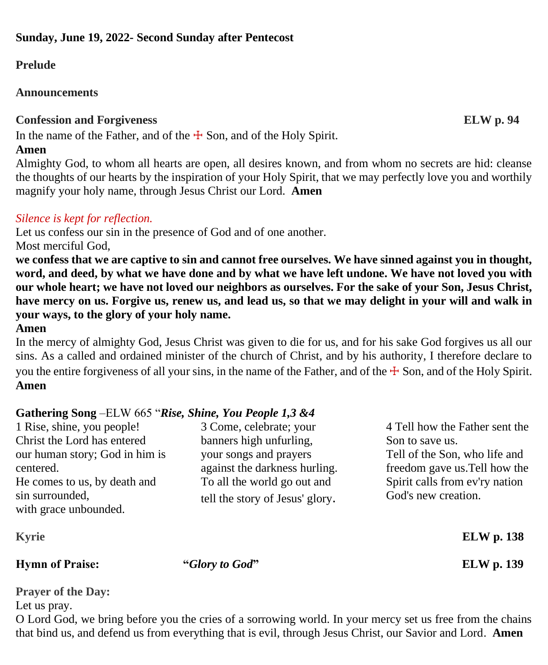# **Prelude**

# **Announcements**

# **Confession and Forgiveness ELW p. 94**

In the name of the Father, and of the  $\pm$  Son, and of the Holy Spirit.

# **Amen**

Almighty God, to whom all hearts are open, all desires known, and from whom no secrets are hid: cleanse the thoughts of our hearts by the inspiration of your Holy Spirit, that we may perfectly love you and worthily magnify your holy name, through Jesus Christ our Lord. **Amen**

# *Silence is kept for reflection.*

Let us confess our sin in the presence of God and of one another.

Most merciful God,

**we confess that we are captive to sin and cannot free ourselves. We have sinned against you in thought, word, and deed, by what we have done and by what we have left undone. We have not loved you with our whole heart; we have not loved our neighbors as ourselves. For the sake of your Son, Jesus Christ, have mercy on us. Forgive us, renew us, and lead us, so that we may delight in your will and walk in your ways, to the glory of your holy name.**

# **Amen**

In the mercy of almighty God, Jesus Christ was given to die for us, and for his sake God forgives us all our sins. As a called and ordained minister of the church of Christ, and by his authority, I therefore declare to you the entire forgiveness of all your sins, in the name of the Father, and of the  $\pm$  Son, and of the Holy Spirit. **Amen**

# **Gathering Song** –ELW 665 "*Rise, Shine, You People 1,3 &4*

| 1 Rise, shine, you people!                  | 3 Come, celebrate; your                                 | 4 Tell how the Father sent the                                 |
|---------------------------------------------|---------------------------------------------------------|----------------------------------------------------------------|
| Christ the Lord has entered                 | banners high unfurling,                                 | Son to save us.                                                |
| our human story; God in him is<br>centered. | your songs and prayers<br>against the darkness hurling. | Tell of the Son, who life and<br>freedom gave us. Tell how the |
| He comes to us, by death and                | To all the world go out and                             | Spirit calls from ev'ry nation                                 |
| sin surrounded,<br>with grace unbounded.    | tell the story of Jesus' glory.                         | God's new creation.                                            |
| <b>Kyrie</b>                                |                                                         | <b>ELW</b> p. 138                                              |

**Hymn of Praise: "***Glory to God***" ELW p. 139**

**Prayer of the Day:** 

Let us pray.

O Lord God, we bring before you the cries of a sorrowing world. In your mercy set us free from the chains that bind us, and defend us from everything that is evil, through Jesus Christ, our Savior and Lord. **Amen**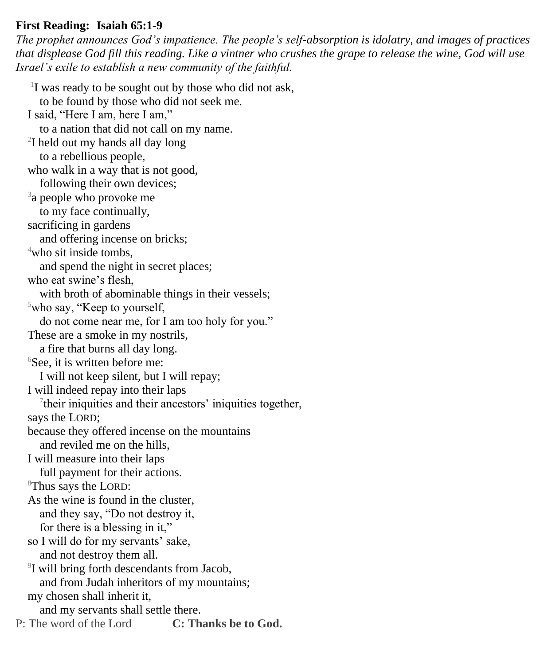#### **First Reading: Isaiah 65:1-9**

*The prophet announces God's impatience. The people's self-absorption is idolatry, and images of practices that displease God fill this reading. Like a vintner who crushes the grape to release the wine, God will use Israel's exile to establish a new community of the faithful.*

<sup>1</sup>I was ready to be sought out by those who did not ask, to be found by those who did not seek me. I said, "Here I am, here I am," to a nation that did not call on my name. 2 I held out my hands all day long to a rebellious people, who walk in a way that is not good, following their own devices; <sup>3</sup>a people who provoke me to my face continually, sacrificing in gardens and offering incense on bricks;  $4$ who sit inside tombs. and spend the night in secret places; who eat swine's flesh, with broth of abominable things in their vessels;  $5$ who say, "Keep to yourself, do not come near me, for I am too holy for you." These are a smoke in my nostrils, a fire that burns all day long. <sup>6</sup>See, it is written before me: I will not keep silent, but I will repay; I will indeed repay into their laps 7 their iniquities and their ancestors' iniquities together, says the LORD; because they offered incense on the mountains and reviled me on the hills, I will measure into their laps full payment for their actions. <sup>8</sup>Thus says the LORD: As the wine is found in the cluster, and they say, "Do not destroy it, for there is a blessing in it," so I will do for my servants' sake, and not destroy them all. 9 I will bring forth descendants from Jacob, and from Judah inheritors of my mountains; my chosen shall inherit it, and my servants shall settle there. P: The word of the Lord **C: Thanks be to God.**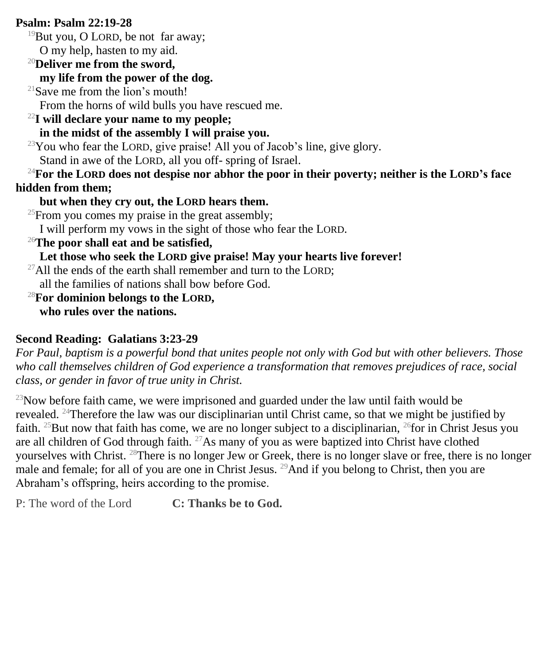# **Psalm: Psalm 22:19-28**

 $19$ But you, O LORD, be not far away; O my help, hasten to my aid.

<sup>20</sup>**Deliver me from the sword,**

# **my life from the power of the dog.**

 $21$ Save me from the lion's mouth! From the horns of wild bulls you have rescued me.

# <sup>22</sup>**I will declare your name to my people;**

# **in the midst of the assembly I will praise you.**

 $23$ You who fear the LORD, give praise! All you of Jacob's line, give glory. Stand in awe of the LORD, all you off- spring of Israel.

<sup>24</sup>**For the LORD does not despise nor abhor the poor in their poverty; neither is the LORD's face hidden from them;**

# **but when they cry out, the LORD hears them.**

 $^{25}$ From you comes my praise in the great assembly;

I will perform my vows in the sight of those who fear the LORD.

<sup>26</sup>**The poor shall eat and be satisfied,**

# **Let those who seek the LORD give praise! May your hearts live forever!**

<sup>27</sup>All the ends of the earth shall remember and turn to the LORD:

all the families of nations shall bow before God.

<sup>28</sup>**For dominion belongs to the LORD, who rules over the nations.**

# **Second Reading: Galatians 3:23-29**

*For Paul, baptism is a powerful bond that unites people not only with God but with other believers. Those who call themselves children of God experience a transformation that removes prejudices of race, social class, or gender in favor of true unity in Christ.*

 $^{23}$ Now before faith came, we were imprisoned and guarded under the law until faith would be revealed. <sup>24</sup>Therefore the law was our disciplinarian until Christ came, so that we might be justified by faith. <sup>25</sup>But now that faith has come, we are no longer subject to a disciplinarian, <sup>26</sup>for in Christ Jesus you are all children of God through faith.  $27\text{As}$  many of you as were baptized into Christ have clothed yourselves with Christ. <sup>28</sup>There is no longer Jew or Greek, there is no longer slave or free, there is no longer male and female; for all of you are one in Christ Jesus. <sup>29</sup>And if you belong to Christ, then you are Abraham's offspring, heirs according to the promise.

P: The word of the Lord **C: Thanks be to God.**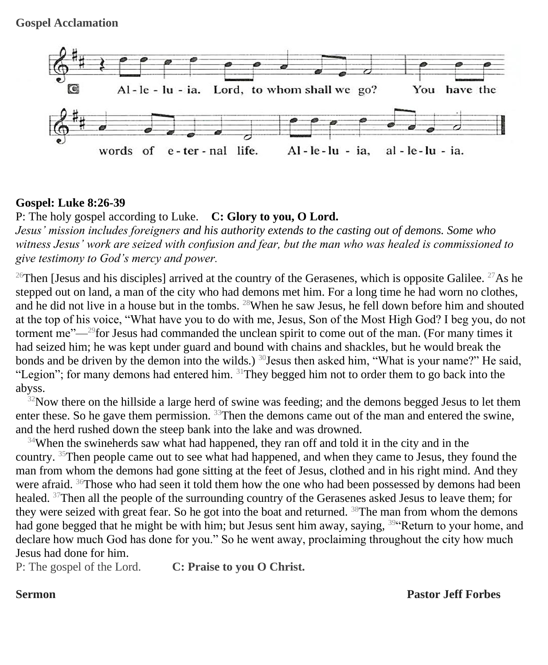

#### **Gospel: Luke 8:26-39**

P: The holy gospel according to Luke. **C: Glory to you, O Lord.**

*Jesus' mission includes foreigners and his authority extends to the casting out of demons. Some who witness Jesus' work are seized with confusion and fear, but the man who was healed is commissioned to give testimony to God's mercy and power.*

<sup>26</sup>Then [Jesus and his disciples] arrived at the country of the Gerasenes, which is opposite Galilee. <sup>27</sup>As he stepped out on land, a man of the city who had demons met him. For a long time he had worn no clothes, and he did not live in a house but in the tombs. <sup>28</sup>When he saw Jesus, he fell down before him and shouted at the top of his voice, "What have you to do with me, Jesus, Son of the Most High God? I beg you, do not torment me"—<sup>29</sup>for Jesus had commanded the unclean spirit to come out of the man. (For many times it had seized him; he was kept under guard and bound with chains and shackles, but he would break the bonds and be driven by the demon into the wilds.)  $^{30}$ Jesus then asked him, "What is your name?" He said, "Legion"; for many demons had entered him.  $31$ They begged him not to order them to go back into the abyss.

 $32$ Now there on the hillside a large herd of swine was feeding; and the demons begged Jesus to let them enter these. So he gave them permission. <sup>33</sup>Then the demons came out of the man and entered the swine, and the herd rushed down the steep bank into the lake and was drowned.

 $34$ When the swineherds saw what had happened, they ran off and told it in the city and in the country. <sup>35</sup>Then people came out to see what had happened, and when they came to Jesus, they found the man from whom the demons had gone sitting at the feet of Jesus, clothed and in his right mind. And they were afraid. <sup>36</sup>Those who had seen it told them how the one who had been possessed by demons had been healed. <sup>37</sup>Then all the people of the surrounding country of the Gerasenes asked Jesus to leave them; for they were seized with great fear. So he got into the boat and returned. <sup>38</sup>The man from whom the demons had gone begged that he might be with him; but Jesus sent him away, saying, <sup>39"</sup>Return to your home, and declare how much God has done for you." So he went away, proclaiming throughout the city how much Jesus had done for him.

P: The gospel of the Lord. **C: Praise to you O Christ.**

**Sermon Pastor Jeff Forbes**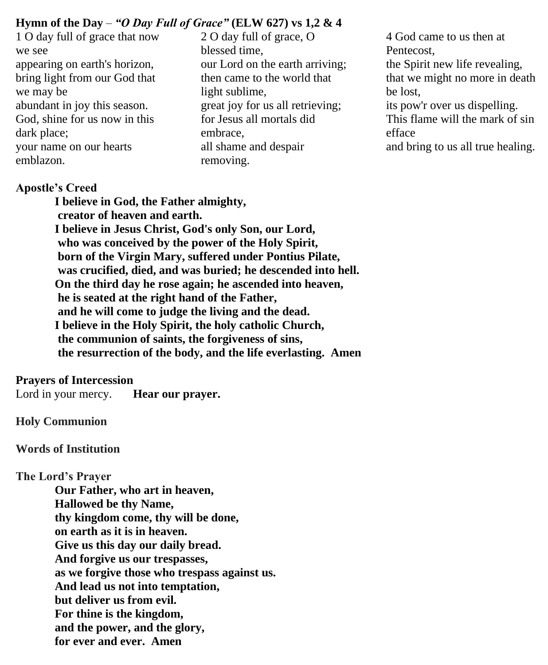# **Hymn of the Day** – *"O Day Full of Grace"* **(ELW 627) vs 1,2 & 4**

- 1 O day full of grace that now we see appearing on earth's horizon, bring light from our God that we may be abundant in joy this season. God, shine for us now in this dark place; your name on our hearts emblazon.
- 2 O day full of grace, O blessed time, our Lord on the earth arriving; then came to the world that light sublime, great joy for us all retrieving; for Jesus all mortals did embrace, all shame and despair removing.
- 4 God came to us then at Pentecost, the Spirit new life revealing, that we might no more in death be lost, its pow'r over us dispelling. This flame will the mark of sin efface and bring to us all true healing.

#### **Apostle's Creed**

**I believe in God, the Father almighty, creator of heaven and earth. I believe in Jesus Christ, God's only Son, our Lord, who was conceived by the power of the Holy Spirit, born of the Virgin Mary, suffered under Pontius Pilate, was crucified, died, and was buried; he descended into hell. On the third day he rose again; he ascended into heaven, he is seated at the right hand of the Father, and he will come to judge the living and the dead. I believe in the Holy Spirit, the holy catholic Church, the communion of saints, the forgiveness of sins, the resurrection of the body, and the life everlasting. Amen**

#### **Prayers of Intercession**

Lord in your mercy. **Hear our prayer.**

#### **Holy Communion**

**Words of Institution**

#### **The Lord's Prayer**

**Our Father, who art in heaven, Hallowed be thy Name, thy kingdom come, thy will be done, on earth as it is in heaven. Give us this day our daily bread. And forgive us our trespasses, as we forgive those who trespass against us. And lead us not into temptation, but deliver us from evil. For thine is the kingdom, and the power, and the glory, for ever and ever. Amen**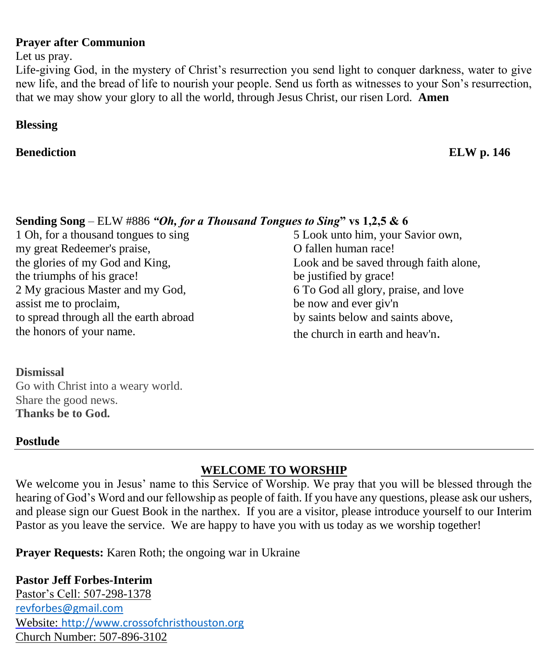#### **Prayer after Communion**

Let us pray.

Life-giving God, in the mystery of Christ's resurrection you send light to conquer darkness, water to give new life, and the bread of life to nourish your people. Send us forth as witnesses to your Son's resurrection, that we may show your glory to all the world, through Jesus Christ, our risen Lord. **Amen**

# **Blessing**

# **Benediction** ELW p. 146

# **Sending Song** – ELW #886 *"Oh, for a Thousand Tongues to Sing***" vs 1,2,5 & 6**

1 Oh, for a thousand tongues to sing my great Redeemer's praise, the glories of my God and King, the triumphs of his grace! 2 My gracious Master and my God, assist me to proclaim, to spread through all the earth abroad the honors of your name.

5 Look unto him, your Savior own, O fallen human race! Look and be saved through faith alone, be justified by grace! 6 To God all glory, praise, and love be now and ever giv'n by saints below and saints above, the church in earth and heav'n.

# **Dismissal**

Go with Christ into a weary world. Share the good news. **Thanks be to God.**

# **Postlude**

# **WELCOME TO WORSHIP**

We welcome you in Jesus' name to this Service of Worship. We pray that you will be blessed through the hearing of God's Word and our fellowship as people of faith. If you have any questions, please ask our ushers, and please sign our Guest Book in the narthex. If you are a visitor, please introduce yourself to our Interim Pastor as you leave the service. We are happy to have you with us today as we worship together!

**Prayer Requests:** Karen Roth; the ongoing war in Ukraine

# **Pastor Jeff Forbes-Interim**

Pastor's Cell: 507-298-1378 [revforbes@gmail.com](mailto:revforbes@gmail.com) Website: [http://www.crossofchristhouston.org](http://www.crossofchristhouston.org/) Church Number: 507-896-3102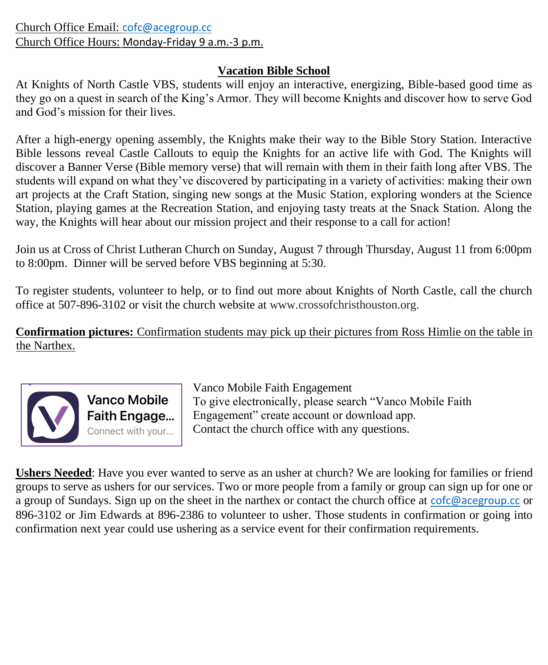Church Office Email: [cofc@acegroup.cc](mailto:cofc@acegroup.cc) Church Office Hours: Monday-Friday 9 a.m.-3 p.m.

# **Vacation Bible School**

At Knights of North Castle VBS, students will enjoy an interactive, energizing, Bible-based good time as they go on a quest in search of the King's Armor. They will become Knights and discover how to serve God and God's mission for their lives.

After a high-energy opening assembly, the Knights make their way to the Bible Story Station. Interactive Bible lessons reveal Castle Callouts to equip the Knights for an active life with God. The Knights will discover a Banner Verse (Bible memory verse) that will remain with them in their faith long after VBS. The students will expand on what they've discovered by participating in a variety of activities: making their own art projects at the Craft Station, singing new songs at the Music Station, exploring wonders at the Science Station, playing games at the Recreation Station, and enjoying tasty treats at the Snack Station. Along the way, the Knights will hear about our mission project and their response to a call for action!

Join us at Cross of Christ Lutheran Church on Sunday, August 7 through Thursday, August 11 from 6:00pm to 8:00pm. Dinner will be served before VBS beginning at 5:30.

To register students, volunteer to help, or to find out more about Knights of North Castle, call the church office at 507-896-3102 or visit the church website at www.crossofchristhouston.org.

**Confirmation pictures:** Confirmation students may pick up their pictures from Ross Himlie on the table in the Narthex.



Vanco Mobile Faith Engagement To give electronically, please search "Vanco Mobile Faith Engagement" create account or download app. Contact the church office with any questions.

**Ushers Needed**: Have you ever wanted to serve as an usher at church? We are looking for families or friend groups to serve as ushers for our services. Two or more people from a family or group can sign up for one or a group of Sundays. Sign up on the sheet in the narthex or contact the church office at [cofc@acegroup.cc](mailto:cofc@acegroup.cc) or 896-3102 or Jim Edwards at 896-2386 to volunteer to usher. Those students in confirmation or going into confirmation next year could use ushering as a service event for their confirmation requirements.